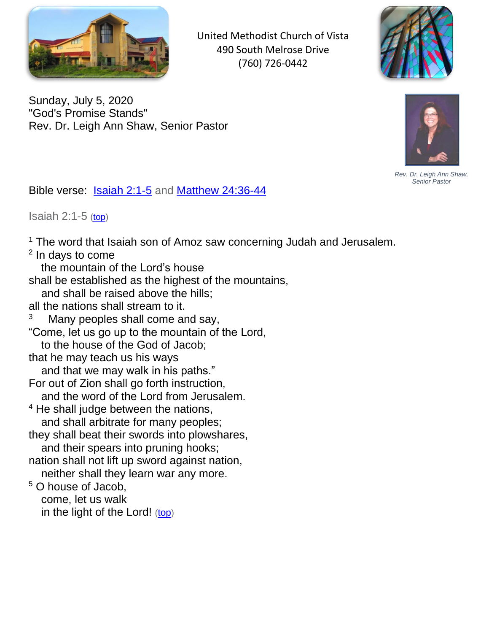

United Methodist Church of Vista 490 South Melrose Drive (760) 726-0442



Sunday, July 5, 2020 "God's Promise Stands" Rev. Dr. Leigh Ann Shaw, Senior Pastor



*Rev. Dr. Leigh Ann Shaw, Senior Pastor*

<span id="page-0-1"></span>Bible verse: [Isaiah 2:1-5](#page-0-0) and [Matthew 24:36-44](#page-1-0)

<span id="page-0-0"></span>Isaiah  $2:1-5$  [\(top\)](#page-0-1)

 $1$  The word that Isaiah son of Amoz saw concerning Judah and Jerusalem.

<sup>2</sup> In days to come

the mountain of the Lord's house

shall be established as the highest of the mountains,

and shall be raised above the hills;

all the nations shall stream to it.

3 Many peoples shall come and say,

"Come, let us go up to the mountain of the Lord,

to the house of the God of Jacob;

that he may teach us his ways

and that we may walk in his paths."

- For out of Zion shall go forth instruction,
- and the word of the Lord from Jerusalem.
- <sup>4</sup> He shall judge between the nations, and shall arbitrate for many peoples;
- they shall beat their swords into plowshares, and their spears into pruning hooks;
- nation shall not lift up sword against nation, neither shall they learn war any more.

<sup>5</sup> O house of Jacob, come, let us walk in the light of the Lord! ([top](#page-0-1))